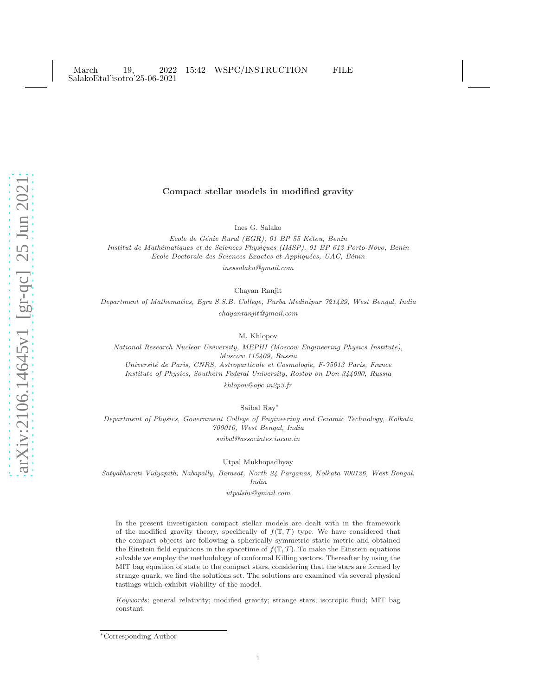# Compact stellar models in modified gravity

Ines G. Salako

Ecole de Génie Rural (EGR), 01 BP 55 Kétou, Benin Institut de Math´ematiques et de Sciences Physiques (IMSP), 01 BP 613 Porto-Novo, Benin Ecole Doctorale des Sciences Exactes et Appliquées, UAC, Bénin

inessalako@gmail.com

Chayan Ranjit

Department of Mathematics, Egra S.S.B. College, Purba Medinipur 721429, West Bengal, India chayanranjit@gmail.com

M. Khlopov

National Research Nuclear University, MEPHI (Moscow Engineering Physics Institute), Moscow 115409, Russia Université de Paris, CNRS, Astroparticule et Cosmologie, F-75013 Paris, France Institute of Physics, Southern Federal University, Rostov on Don 344090, Russia

khlopov@apc.in2p3.fr

Saibal Ray ∗

Department of Physics, Government College of Engineering and Ceramic Technology, Kolkata 700010, West Bengal, India  $s a i b a l@associates.\,i u ca a.in$ 

Utpal Mukhopadhyay

Satyabharati Vidyapith, Nabapally, Barasat, North 24 Parganas, Kolkata 700126, West Bengal, India

utpalsbv@gmail.com

In the present investigation compact stellar models are dealt with in the framework of the modified gravity theory, specifically of  $f(\mathbb{T}, \mathcal{T})$  type. We have considered that the compact objects are following a spherically symmetric static metric and obtained the Einstein field equations in the spacetime of  $f(\mathbb{T}, \mathcal{T})$ . To make the Einstein equations solvable we employ the methodology of conformal Killing vectors. Thereafter by using the MIT bag equation of state to the compact stars, considering that the stars are formed by strange quark, we find the solutions set. The solutions are examined via several physical tastings which exhibit viability of the model.

Keywords: general relativity; modified gravity; strange stars; isotropic fluid; MIT bag constant.

<sup>∗</sup>Corresponding Author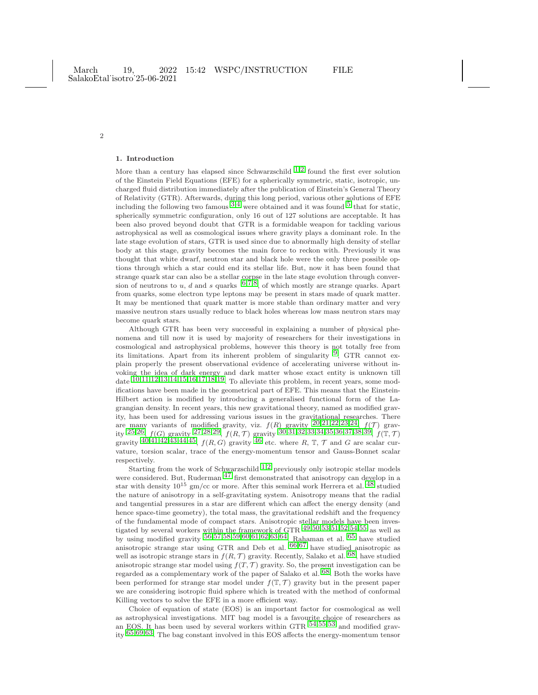#### 1. Introduction

2

More than a century has elapsed since Schwarzschild  $^{1,2}$  $^{1,2}$  $^{1,2}$  $^{1,2}$  $^{1,2}$  found the first ever solution of the Einstein Field Equations (EFE) for a spherically symmetric, static, isotropic, uncharged fluid distribution immediately after the publication of Einstein's General Theory of Relativity (GTR). Afterwards, during this long period, various other solutions of EFE including the following two famous  $3.4$  $3.4$  $3.4$  were obtained and it was found  $5$  that for static, spherically symmetric configuration, only 16 out of 127 solutions are acceptable. It has been also proved beyond doubt that GTR is a formidable weapon for tackling various astrophysical as well as cosmological issues where gravity plays a dominant role. In the late stage evolution of stars, GTR is used since due to abnormally high density of stellar body at this stage, gravity becomes the main force to reckon with. Previously it was thought that white dwarf, neutron star and black hole were the only three possible options through which a star could end its stellar life. But, now it has been found that strange quark star can also be a stellar corpse in the late stage evolution through conver-<br>sion of neutrons to u, d and s quarks  $6,7,8$  $6,7,8$  $6,7,8$  $6,7,8$ , of which mostly are strange quarks. Apart from quarks, some electron type leptons may be present in stars made of quark matter. It may be mentioned that quark matter is more stable than ordinary matter and very massive neutron stars usually reduce to black holes whereas low mass neutron stars may become quark stars.

Although GTR has been very successful in explaining a number of physical phenomena and till now it is used by majority of researchers for their investigations in cosmological and astrophysical problems, however this theory is not totally free from its limitations. Apart from its inherent problem of singularity  $9$ , GTR cannot explain properly the present observational evidence of accelerating universe without invoking the idea of dark energy and dark matter whose exact entity is unknown till date  $10,11,12,13,14,15,16,17,18,19$  $10,11,12,13,14,15,16,17,18,19$  $10,11,12,13,14,15,16,17,18,19$  $10,11,12,13,14,15,16,17,18,19$  $10,11,12,13,14,15,16,17,18,19$  $10,11,12,13,14,15,16,17,18,19$  $10,11,12,13,14,15,16,17,18,19$  $10,11,12,13,14,15,16,17,18,19$  $10,11,12,13,14,15,16,17,18,19$  $10,11,12,13,14,15,16,17,18,19$  $10,11,12,13,14,15,16,17,18,19$  $10,11,12,13,14,15,16,17,18,19$  $10,11,12,13,14,15,16,17,18,19$  $10,11,12,13,14,15,16,17,18,19$  $10,11,12,13,14,15,16,17,18,19$  $10,11,12,13,14,15,16,17,18,19$  $10,11,12,13,14,15,16,17,18,19$  $10,11,12,13,14,15,16,17,18,19$ . To alleviate this problem, in recent years, some modifications have been made in the geometrical part of EFE. This means that the Einstein-Hilbert action is modified by introducing a generalised functional form of the Lagrangian density. In recent years, this new gravitational theory, named as modified gravity, has been used for addressing various issues in the gravitational researches. There are many variants of modified gravity, viz.  $f(R)$  gravity  $^{20,21,22,23,24}$  $^{20,21,22,23,24}$  $^{20,21,22,23,24}$  $^{20,21,22,23,24}$  $^{20,21,22,23,24}$  $^{20,21,22,23,24}$  $^{20,21,22,23,24}$  $^{20,21,22,23,24}$  $^{20,21,22,23,24}$ ,  $f(T)$  gravity  $^{25,26}$  $^{25,26}$  $^{25,26}$ ,  $f(G)$  gravity  $^{27,28,29}$  $^{27,28,29}$  $^{27,28,29}$  $^{27,28,29}$  $^{27,28,29}$ ,  $f(R,\mathcal{T})$  gravity  $^{30,31,32,33,34,35,36,37,38,39}$  $^{30,31,32,33,34,35,36,37,38,39}$  $^{30,31,32,33,34,35,36,37,38,39}$  $^{30,31,32,33,34,35,36,37,38,39}$  $^{30,31,32,33,34,35,36,37,38,39}$  $^{30,31,32,33,34,35,36,37,38,39}$  $^{30,31,32,33,34,35,36,37,38,39}$  $^{30,31,32,33,34,35,36,37,38,39}$  $^{30,31,32,33,34,35,36,37,38,39}$  $^{30,31,32,33,34,35,36,37,38,39}$  $^{30,31,32,33,34,35,36,37,38,39}$  $^{30,31,32,33,34,35,36,37,38,39}$  $^{30,31,32,33,34,35,36,37,38,39}$  $^{30,31,32,33,34,35,36,37,38,39}$  $^{30,31,32,33,34,35,36,37,38,39}$  $^{30,31,32,33,34,35,36,37,38,39}$  $^{30,31,32,33,34,35,36,37,38,39}$  $^{30,31,32,33,34,35,36,37,38,39}$  $^{30,31,32,33,34,35,36,37,38,39}$ ,  $f(\mathbb{T},\mathcal{T})$ gravity  $40,41,42,43,44,45$  $40,41,42,43,44,45$  $40,41,42,43,44,45$  $40,41,42,43,44,45$  $40,41,42,43,44,45$  $40,41,42,43,44,45$  $40,41,42,43,44,45$  $40,41,42,43,44,45$  $40,41,42,43,44,45$  $40,41,42,43,44,45$ ,  $f(R, G)$  gravity  $46$  etc. where R, T, T and G are scalar curvature, torsion scalar, trace of the energy-momentum tensor and Gauss-Bonnet scalar respectively.

Starting from the work of Schwarzschild  $1,2$  $1,2$  $1,2$  previously only isotropic stellar models were considered. But, Ruderman [47](#page-12-4) first demonstrated that anisotropy can develop in a star with density  $10^{15}$  gm/cc or more. After this seminal work Herrera et al.  $^{48}$  $^{48}$  $^{48}$  studied the nature of anisotropy in a self-gravitating system. Anisotropy means that the radial and tangential pressures in a star are different which can affect the energy density (and hence space-time geometry), the total mass, the gravitational redshift and the frequency of the fundamental mode of compact stars. Anisotropic stellar models have been investigated by several workers within the framework of GTR [49](#page-12-6),[50](#page-12-7),[53](#page-12-8),[51](#page-12-9),[52](#page-12-10),[54](#page-12-11),[55](#page-12-12) as well as by using modified gravity [56](#page-12-13),[57](#page-12-14),[58](#page-12-15),[59](#page-12-16),[60](#page-12-17),[61](#page-12-18),[62](#page-12-19),[63](#page-12-20),[64.](#page-12-21) Rahaman et al. [65](#page-12-22) have studied anisotropic strange star using GTR and Deb et al. [66](#page-12-23),[67](#page-12-24) have studied anisotropic as well as isotropic strange stars in  $f(R, \mathcal{T})$  gravity. Recently, Salako et al. <sup>68</sup>, have studied anisotropic strange star model using  $f(T, \mathcal{T})$  gravity. So, the present investigation can be regarded as a complementary work of the paper of Salako et al. [68.](#page-12-25) Both the works have been performed for strange star model under  $f(\mathbb{T}, \mathcal{T})$  gravity but in the present paper we are considering isotropic fluid sphere which is treated with the method of conformal Killing vectors to solve the EFE in a more efficient way.

Choice of equation of state (EOS) is an important factor for cosmological as well as astrophysical investigations. MIT bag model is a favourite choice of researchers as an EOS. It has been used by several workers within GTR  $54,55,53$  $54,55,53$  $54,55,53$  $54,55,53$  $54,55,53$  and modified gravity [65](#page-12-22),[69](#page-12-26),[63.](#page-12-20) The bag constant involved in this EOS affects the energy-momentum tensor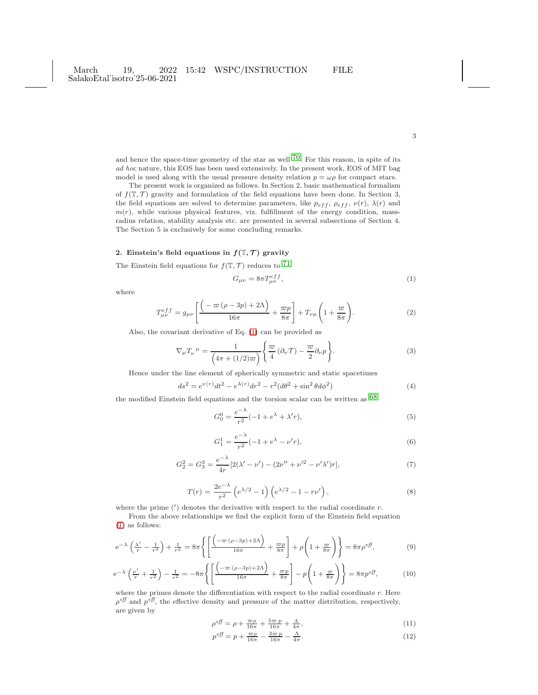and hence the space-time geometry of the star as well  $70$ . For this reason, in spite of its ad hoc nature, this EOS has been used extensively. In the present work, EOS of MIT bag model is used along with the usual pressure density relation  $p = \omega \rho$  for compact stars.

The present work is organized as follows. In Section 2, basic mathematical formalism of  $f(\mathbb{T}, \mathcal{T})$  gravity and formulation of the field equations have been done. In Section 3, the field equations are solved to determine parameters, like  $p_{eff}$ ,  $\rho_{eff}$ ,  $\nu(r)$ ,  $\lambda(r)$  and  $m(r)$ , while various physical features, viz. fulfillment of the energy condition, massradius relation, stability analysis etc. are presented in several subsections of Section 4. The Section 5 is exclusively for some concluding remarks.

## 2. Einstein's field equations in  $f(\mathbb{T}, \mathcal{T})$  gravity

The Einstein field equations for  $f(\mathbb{T}, \mathcal{T})$  reduces to <sup>[71](#page-12-28)</sup>

<span id="page-2-0"></span>
$$
G_{\mu\nu} = 8\pi T_{\mu\nu}^{eff},\tag{1}
$$

where

$$
T_{\mu\nu}^{eff} = g_{\mu\nu} \left[ \frac{\left( -\varpi \left( \rho - 3p \right) + 2\Lambda \right)}{16\pi} + \frac{\varpi p}{8\pi} \right] + T_{\nu\mu} \left( 1 + \frac{\varpi}{8\pi} \right). \tag{2}
$$

Also, the covariant derivative of Eq. [\(1\)](#page-2-0) can be provided as

<span id="page-2-2"></span>
$$
\nabla_{\mu}T_{\nu}{}^{\mu} = \frac{1}{\left(4\pi + (1/2)\varpi\right)} \left\{ \frac{\varpi}{4} \left(\partial_{\nu}\mathcal{T}\right) - \frac{\varpi}{2} \partial_{\nu}p \right\}.
$$
 (3)

Hence under the line element of spherically symmetric and static spacetimes

<span id="page-2-3"></span>
$$
ds^{2} = e^{\nu(r)}dt^{2} - e^{\lambda(r)}dr^{2} - r^{2}(d\theta^{2} + \sin^{2}\theta d\phi^{2})
$$
\n(4)

the modified Einstein field equations and the torsion scalar can be written as  $\rm ^{68}$  $\rm ^{68}$  $\rm ^{68}$ 

$$
G_0^0 = \frac{e^{-\lambda}}{r^2}(-1 + e^{\lambda} + \lambda' r),\tag{5}
$$

$$
G_1^1 = \frac{e^{-\lambda}}{r^2}(-1 + e^{\lambda} - \nu'r),
$$
\n(6)

$$
G_2^2 = G_3^3 = \frac{e^{-\lambda}}{4r} [2(\lambda' - \nu') - (2\nu'' + \nu'^2 - \nu'\lambda')r],\tag{7}
$$

$$
T(r) = \frac{2e^{-\lambda}}{r^2} \left( e^{\lambda/2} - 1 \right) \left( e^{\lambda/2} - 1 - r\nu' \right),\tag{8}
$$

where the prime  $(')$  denotes the derivative with respect to the radial coordinate  $r$ .

From the above relationships we find the explicit form of the Einstein field equation [\(1\)](#page-2-0) as follows:

<span id="page-2-1"></span>
$$
e^{-\lambda} \left( \frac{\lambda'}{r} - \frac{1}{r^2} \right) + \frac{1}{r^2} = 8\pi \left\{ \left[ \frac{\left( -\varpi \left( \rho - 3p \right) + 2\Lambda \right)}{16\pi} + \frac{\varpi p}{8\pi} \right] + \rho \left( 1 + \frac{\varpi}{8\pi} \right) \right\} = 8\pi \rho^{eff},\tag{9}
$$

$$
e^{-\lambda} \left(\frac{\nu'}{r} + \frac{1}{r^2}\right) - \frac{1}{r^2} = -8\pi \left\{ \left[ \frac{\left(-\varpi \left(\rho - 3p\right) + 2\Lambda\right)}{16\pi} + \frac{\varpi p}{8\pi} \right] - p \left(1 + \frac{\varpi}{8\pi}\right) \right\} = 8\pi p^{eff},\tag{10}
$$

where the primes denote the differentiation with respect to the radial coordinate  $r$ . Here  $\rho^{eff}$  and  $p^{eff}$ , the effective density and pressure of the matter distribution, respectively, are given by

$$
\rho^{eff} = \rho + \frac{\varpi \rho}{16\pi} + \frac{5\varpi p}{16\pi} + \frac{\Lambda}{4\pi},\tag{11}
$$

$$
p^{eff} = p + \frac{\varpi \rho}{16\pi} - \frac{3\varpi p}{16\pi} - \frac{\Lambda}{4\pi}.
$$
\n<sup>(12)</sup>

3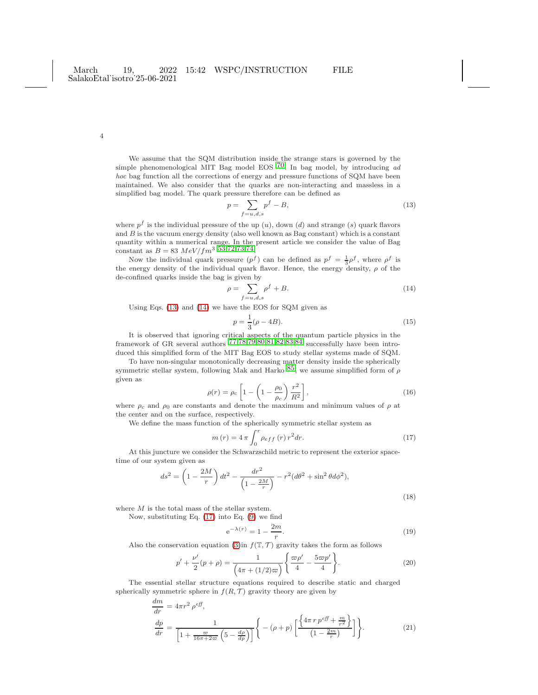We assume that the SQM distribution inside the strange stars is governed by the simple phenomenological MIT Bag model EOS  $^{70}$ . In bag model, by introducing ad hoc bag function all the corrections of energy and pressure functions of SQM have been maintained. We also consider that the quarks are non-interacting and massless in a simplified bag model. The quark pressure therefore can be defined as

<span id="page-3-0"></span>
$$
p = \sum_{f=u,d,s} p^f - B,\tag{13}
$$

where  $p<sup>f</sup>$  is the individual pressure of the up  $(u)$ , down  $(d)$  and strange  $(s)$  quark flavors and  $B$  is the vacuum energy density (also well known as Bag constant) which is a constant quantity within a numerical range. In the present article we consider the value of Bag constant as  $B = 83 \ MeV/fm^3 \ \frac{53}{72,73,74}$  $B = 83 \ MeV/fm^3 \ \frac{53}{72,73,74}$  $B = 83 \ MeV/fm^3 \ \frac{53}{72,73,74}$  $B = 83 \ MeV/fm^3 \ \frac{53}{72,73,74}$  $B = 83 \ MeV/fm^3 \ \frac{53}{72,73,74}$  $B = 83 \ MeV/fm^3 \ \frac{53}{72,73,74}$  $B = 83 \ MeV/fm^3 \ \frac{53}{72,73,74}$ .

Now the individual quark pressure  $(p^f)$  can be defined as  $p^f = \frac{1}{3}p^f$ , where  $p^f$  is the energy density of the individual quark flavor. Hence, the energy density,  $\rho$  of the de-confined quarks inside the bag is given by

<span id="page-3-1"></span>
$$
\rho = \sum_{f=u,d,s} \rho^f + B. \tag{14}
$$

Using Eqs. [\(13\)](#page-3-0) and [\(14\)](#page-3-1) we have the EOS for SQM given as

$$
p = \frac{1}{3}(\rho - 4B). \tag{15}
$$

It is observed that ignoring critical aspects of the quantum particle physics in the framework of GR several authors [77](#page-12-32),[78](#page-12-33),[79](#page-13-0),[80](#page-13-1),[81](#page-13-2),[82](#page-13-3),[83](#page-13-4),[84](#page-13-5) successfully have been introduced this simplified form of the MIT Bag EOS to study stellar systems made of SQM.

To have non-singular monotonically decreasing matter density inside the spherically symmetric stellar system, following Mak and Harko  $85$ , we assume simplified form of  $\rho$ given as

$$
\rho(r) = \rho_c \left[ 1 - \left( 1 - \frac{\rho_0}{\rho_c} \right) \frac{r^2}{R^2} \right],\tag{16}
$$

where  $\rho_c$  and  $\rho_0$  are constants and denote the maximum and minimum values of  $\rho$  at the center and on the surface, respectively.

We define the mass function of the spherically symmetric stellar system as

<span id="page-3-2"></span>
$$
m(r) = 4\pi \int_0^r \rho_{eff}(r) r^2 dr.
$$
 (17)

At this juncture we consider the Schwarzschild metric to represent the exterior spacetime of our system given as

$$
ds^{2} = \left(1 - \frac{2M}{r}\right)dt^{2} - \frac{dr^{2}}{\left(1 - \frac{2M}{r}\right)} - r^{2}(d\theta^{2} + \sin^{2}\theta d\phi^{2}),
$$
\n(18)

where M is the total mass of the stellar system.

Now, substituting Eq. [\(17\)](#page-3-2) into Eq. [\(9\)](#page-2-1) we find

$$
e^{-\lambda(r)} = 1 - \frac{2m}{r}.\tag{19}
$$

Also the conservation equation [\(3\)](#page-2-2)<br>in  $f(\mathbb{T},\mathcal{T})$  gravity takes the form as follows

<span id="page-3-4"></span>
$$
p' + \frac{\nu'}{2}(p+\rho) = \frac{1}{\left(4\pi + (1/2)\varpi\right)} \left\{ \frac{\varpi\rho'}{4} - \frac{5\varpi p'}{4} \right\}.
$$
 (20)

The essential stellar structure equations required to describe static and charged spherically symmetric sphere in  $f(R, \mathcal{T})$  gravity theory are given by

<span id="page-3-3"></span>
$$
\frac{dm}{dr} = 4\pi r^2 \rho^{eff},
$$
\n
$$
\frac{dp}{dr} = \frac{1}{\left[1 + \frac{\varpi}{16\pi + 2\varpi} \left(5 - \frac{d\rho}{dp}\right)\right]} \left\{ - (\rho + p) \left[\frac{\left\{4\pi \, r \, p^{eff} + \frac{m}{r^2}\right\}}{\left(1 - \frac{2m}{r}\right)}\right] \right\}.
$$
\n(21)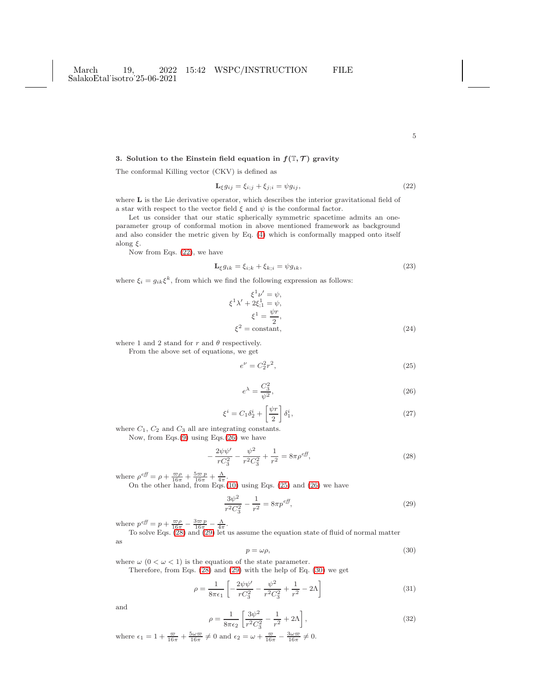# 3. Solution to the Einstein field equation in  $f(\mathbb{T}, \mathcal{T})$  gravity

The conformal Killing vector (CKV) is defined as

<span id="page-4-0"></span>
$$
\mathbf{L}_{\xi}g_{ij} = \xi_{i;j} + \xi_{j;i} = \psi g_{ij},\tag{22}
$$

where L is the Lie derivative operator, which describes the interior gravitational field of a star with respect to the vector field  $\xi$  and  $\psi$  is the conformal factor.

Let us consider that our static spherically symmetric spacetime admits an oneparameter group of conformal motion in above mentioned framework as background and also consider the metric given by Eq. [\(4\)](#page-2-3) which is conformally mapped onto itself along  $\xi$ .

Now from Eqs. [\(22\)](#page-4-0), we have

$$
\mathbf{L}_{\xi} g_{ik} = \xi_{i;k} + \xi_{k;i} = \psi g_{ik},\tag{23}
$$

where  $\xi_i = g_{ik}\xi^k$ , from which we find the following expression as follows:

$$
\xi^{1} \nu' = \psi,
$$
  
\n
$$
\xi^{1} \lambda' + 2\xi_{;1}^{1} = \psi,
$$
  
\n
$$
\xi^{1} = \frac{\psi r}{2},
$$
  
\n
$$
\xi^{2} = \text{constant},
$$
\n(24)

where 1 and 2 stand for  $r$  and  $\theta$  respectively.

From the above set of equations, we get

<span id="page-4-2"></span>
$$
e^{\nu} = C_2^2 r^2,
$$
\n(25)

<span id="page-4-1"></span>
$$
e^{\lambda} = \frac{C_3^2}{\psi^2},\tag{26}
$$

$$
\xi^i = C_1 \delta_2^i + \left[\frac{\psi r}{2}\right] \delta_1^i,\tag{27}
$$

where  $C_1$ ,  $C_2$  and  $C_3$  all are integrating constants.

Now, from Eqs.[\(9\)](#page-2-1) using Eqs.[\(26\)](#page-4-1) we have

<span id="page-4-3"></span>
$$
-\frac{2\psi\psi'}{rC_3^2} - \frac{\psi^2}{r^2C_3^2} + \frac{1}{r^2} = 8\pi\rho^{eff},\tag{28}
$$

where  $\rho^{eff} = \rho + \frac{\varpi \rho}{16\pi} + \frac{5\varpi p}{16\pi} + \frac{\Lambda}{4\pi}$ .

On the other hand, from Eqs.[\(10\)](#page-2-1) using Eqs. [\(25\)](#page-4-2) and [\(26\)](#page-4-1) we have

<span id="page-4-4"></span>
$$
\frac{3\psi^2}{r^2C_3^2} - \frac{1}{r^2} = 8\pi p^{eff},\tag{29}
$$

where  $p^{eff} = p + \frac{\varpi \rho}{16\pi} - \frac{3\varpi p}{16\pi} - \frac{\Lambda}{4\pi}$ .

To solve Eqs. [\(28\)](#page-4-3) and [\(29\)](#page-4-4) let us assume the equation state of fluid of normal matter as

<span id="page-4-5"></span>
$$
p = \omega \rho,\tag{30}
$$

where  $\omega$  ( $0 < \omega < 1$ ) is the equation of the state parameter.

Therefore, from Eqs. [\(28\)](#page-4-3) and [\(29\)](#page-4-4) with the help of Eq. [\(30\)](#page-4-5) we get

$$
\rho = \frac{1}{8\pi\epsilon_1} \left[ -\frac{2\psi\psi'}{rC_3^2} - \frac{\psi^2}{r^2C_3^2} + \frac{1}{r^2} - 2\Lambda \right]
$$
\n(31)

and

$$
\rho = \frac{1}{8\pi\epsilon_2} \left[ \frac{3\psi^2}{r^2 C_3^2} - \frac{1}{r^2} + 2\Lambda \right],
$$
\n(32)

where  $\epsilon_1 = 1 + \frac{\varpi}{16\pi} + \frac{5\omega\varpi}{16\pi} \neq 0$  and  $\epsilon_2 = \omega + \frac{\varpi}{16\pi} - \frac{3\omega\varpi}{16\pi} \neq 0$ .

5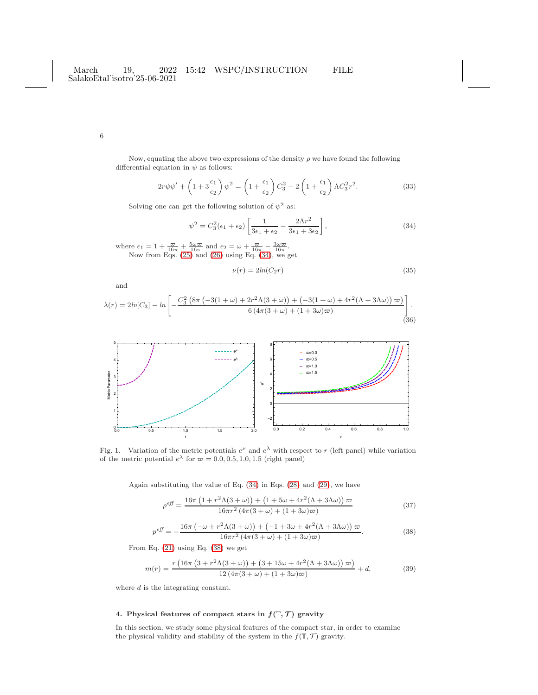Now, equating the above two expressions of the density  $\rho$  we have found the following differential equation in  $\psi$  as follows:

$$
2r\psi\psi' + \left(1 + 3\frac{\epsilon_1}{\epsilon_2}\right)\psi^2 = \left(1 + \frac{\epsilon_1}{\epsilon_2}\right)C_3^2 - 2\left(1 + \frac{\epsilon_1}{\epsilon_2}\right)\Lambda C_3^2r^2.
$$
 (33)

Solving one can get the following solution of  $\psi^2$  as:

<span id="page-5-0"></span>
$$
\psi^2 = C_3^2(\epsilon_1 + \epsilon_2) \left[ \frac{1}{3\epsilon_1 + \epsilon_2} - \frac{2\Lambda r^2}{3\epsilon_1 + 3\epsilon_2} \right],\tag{34}
$$

where  $\epsilon_1 = 1 + \frac{\varpi}{16\pi} + \frac{5\omega\varpi}{16\pi}$  and  $\epsilon_2 = \omega + \frac{\varpi}{16\pi} - \frac{3\omega\varpi}{16\pi}$ . Now from Eqs. [\(25\)](#page-4-2) and [\(26\)](#page-4-1) using Eq. [\(34\)](#page-5-0), we get

$$
\nu(r) = 2\ln(C_2 r) \tag{35}
$$

and

$$
\lambda(r) = 2\ln[C_3] - \ln\left[-\frac{C_3^2 \left(8\pi \left(-3(1+\omega) + 2r^2 \Lambda(3+\omega)\right) + \left(-3(1+\omega) + 4r^2 (\Lambda + 3\Lambda\omega)\right)\varpi\right)}{6\left(4\pi (3+\omega) + (1+3\omega)\varpi\right)}\right].
$$
\n(36)



Fig. 1. Variation of the metric potentials  $e^{\nu}$  and  $e^{\lambda}$  with respect to r (left panel) while variation of the metric potential  $e^{\lambda}$  for  $\overline{\omega} = 0.0, 0.5, 1.0, 1.5$  (right panel)

Again substituting the value of Eq. [\(34\)](#page-5-0) in Eqs. [\(28\)](#page-4-3) and [\(29\)](#page-4-4), we have

$$
\rho^{eff} = \frac{16\pi \left(1 + r^2 \Lambda (3 + \omega)\right) + \left(1 + 5\omega + 4r^2 (\Lambda + 3\Lambda \omega)\right) \varpi}{16\pi r^2 \left(4\pi (3 + \omega) + (1 + 3\omega)\varpi\right)}\tag{37}
$$

<span id="page-5-1"></span>
$$
p^{eff} = -\frac{16\pi \left(-\omega + r^2 \Lambda (3+\omega)\right) + \left(-1 + 3\omega + 4r^2 (\Lambda + 3\Lambda \omega)\right) \varpi}{16\pi r^2 \left(4\pi (3+\omega) + (1+3\omega)\varpi\right)}.
$$
\n(38)

From Eq. [\(21\)](#page-3-3) using Eq. [\(38\)](#page-5-1) we get

$$
m(r) = \frac{r\left(16\pi\left(3 + r^2\Lambda(3+\omega)\right) + \left(3 + 15\omega + 4r^2(\Lambda + 3\Lambda\omega)\right)\varpi\right)}{12\left(4\pi(3+\omega) + (1+3\omega)\varpi\right)} + d,\tag{39}
$$

where  $d$  is the integrating constant.

# 4. Physical features of compact stars in  $f(\mathbb{T}, \mathcal{T})$  gravity

In this section, we study some physical features of the compact star, in order to examine the physical validity and stability of the system in the  $f(\mathbb{T}, \mathcal{T})$  gravity.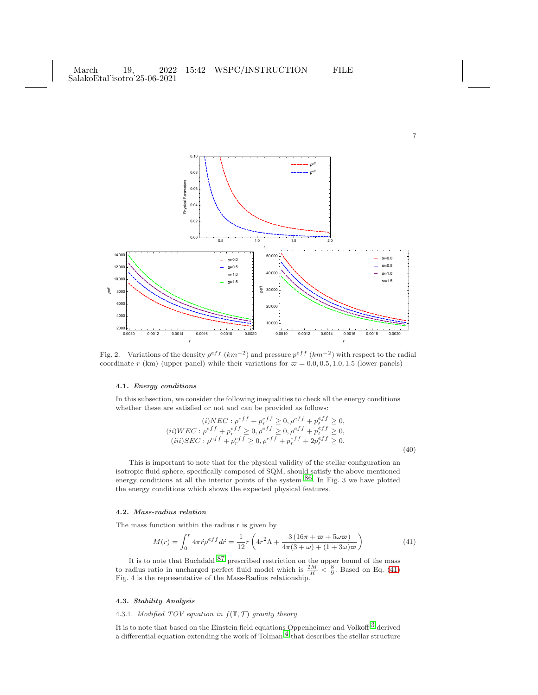

Fig. 2. Variations of the density  $\rho^{eff}$   $(km^{-2})$  and pressure  $p^{eff}$   $(km^{-2})$  with respect to the radial coordinate r (km) (upper panel) while their variations for  $\varpi = 0.0, 0.5, 1.0, 1.5$  (lower panels)

## 4.1. Energy conditions

In this subsection, we consider the following inequalities to check all the energy conditions whether these are satisfied or not and can be provided as follows:

$$
(i)NEC: \rho^{eff} + p_r^{eff} \ge 0, \rho^{eff} + p_t^{eff} \ge 0,
$$
  
\n
$$
(ii)WEC: \rho^{eff} + p_r^{eff} \ge 0, \rho^{eff} \ge 0, \rho^{eff} + p_t^{eff} \ge 0,
$$
  
\n
$$
(iii)SEC: \rho^{eff} + p_r^{eff} \ge 0, \rho^{eff} + p_r^{eff} + 2p_t^{eff} \ge 0.
$$
  
\n(40)

This is important to note that for the physical validity of the stellar configuration an isotropic fluid sphere, specifically composed of SQM, should satisfy the above mentioned energy conditions at all the interior points of the system [86.](#page-13-7) In Fig. 3 we have plotted the energy conditions which shows the expected physical features.

### 4.2. Mass-radius relation

The mass function within the radius r is given by

<span id="page-6-0"></span>
$$
M(r) = \int_0^r 4\pi \acute{r} \rho^{eff} d\acute{r} = \frac{1}{12}r \left( 4r^2 \Lambda + \frac{3\left(16\pi + \varpi + 5\omega\varpi\right)}{4\pi(3+\omega)\left(1+3\omega\right)\varpi} \right) \tag{41}
$$

It is to note that Buchdahl <sup>[87](#page-13-8)</sup> prescribed restriction on the upper bound of the mass to radius ratio in uncharged perfect fluid model which is  $\frac{2M}{R} < \frac{8}{9}$ . Based on Eq. [\(41\)](#page-6-0) Fig. 4 is the representative of the Mass-Radius relationship.

## 4.3. Stability Analysis

# 4.3.1. Modified TOV equation in  $f(\mathbb{T}, \mathcal{T})$  gravity theory

It is to note that based on the Einstein field equations Oppenheimer and Volkoff  $^3$  $^3$  derived a differential equation extending the work of Tolman  $\frac{4}{1}$  $\frac{4}{1}$  $\frac{4}{1}$  that describes the stellar structure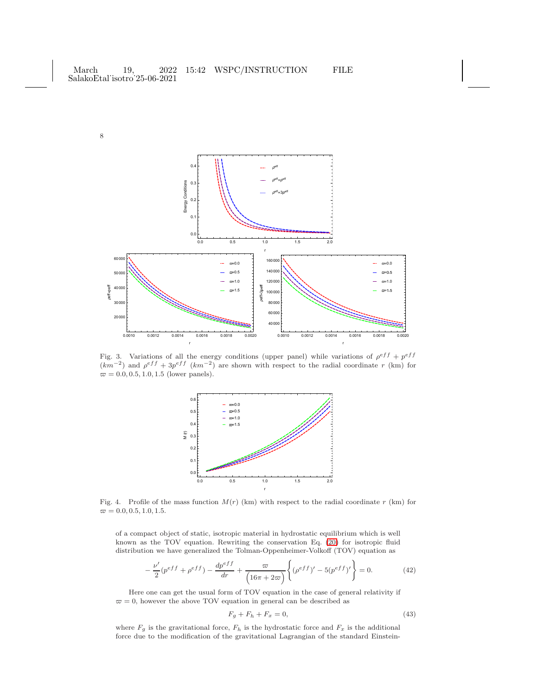

Fig. 3. Variations of all the energy conditions (upper panel) while variations of  $\rho^{eff} + p^{eff}$  $(km^{-2})$  and  $\rho^{eff} + 3p^{eff} (km^{-2})$  are shown with respect to the radial coordinate r (km) for  $\varpi = 0.0, 0.5, 1.0, 1.5$  (lower panels).



Fig. 4. Profile of the mass function  $M(r)$  (km) with respect to the radial coordinate r (km) for  $\varpi = 0.0, 0.5, 1.0, 1.5.$ 

of a compact object of static, isotropic material in hydrostatic equilibrium which is well known as the TOV equation. Rewriting the conservation Eq. [\(20\)](#page-3-4) for isotropic fluid distribution we have generalized the Tolman-Oppenheimer-Volkoff (TOV) equation as

$$
-\frac{\nu'}{2}(p^{eff} + \rho^{eff}) - \frac{dp^{eff}}{dr} + \frac{\varpi}{(16\pi + 2\varpi)} \left\{ (\rho^{eff})' - 5(p^{eff})' \right\} = 0.
$$
 (42)

Here one can get the usual form of TOV equation in the case of general relativity if  $\varpi = 0$ , however the above TOV equation in general can be described as

$$
F_g + F_h + F_x = 0,\t\t(43)
$$

where  $F_g$  is the gravitational force,  $F_h$  is the hydrostatic force and  $F_x$  is the additional force due to the modification of the gravitational Lagrangian of the standard Einstein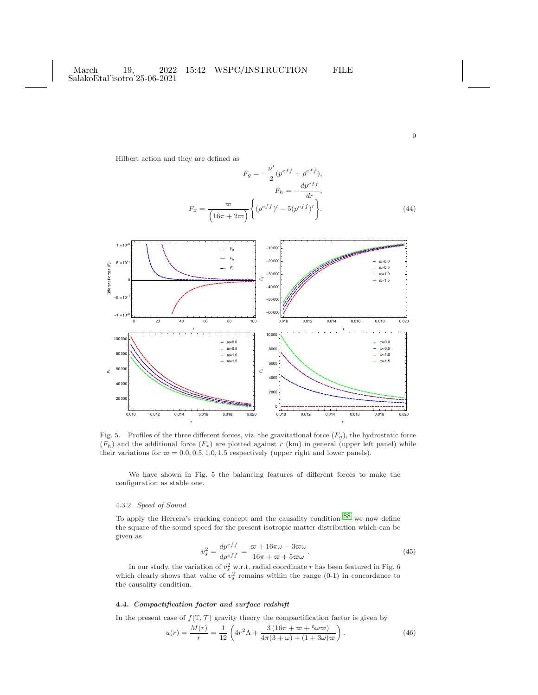Hilbert action and they are defined as

$$
F_g = -\frac{\nu'}{2} (p^{eff} + \rho^{eff}),
$$

$$
F_h = -\frac{dp^{eff}}{dr},
$$

$$
F_x = \frac{\varpi}{\left(16\pi + 2\varpi\right)} \left\{ (\rho^{eff})' - 5(p^{eff})' \right\}.
$$
(44)

9



Fig. 5. Profiles of the three different forces, viz. the gravitational force  $(F_q)$ , the hydrostatic force  $(F_h)$  and the additional force  $(F_x)$  are plotted against r (km) in general (upper left panel) while their variations for  $\varpi = 0.0, 0.5, 1.0, 1.5$  respectively (upper right and lower panels).

We have shown in Fig. 5 the balancing features of different forces to make the configuration as stable one.

# 4.3.2. Speed of Sound

To apply the Herrera's cracking concept and the causality condition [88](#page-13-9) we now define the square of the sound speed for the present isotropic matter distribution which can be given as

$$
v_s^2 = \frac{dp^{eff}}{d\rho^{eff}} = \frac{\varpi + 16\pi\omega - 3\varpi\omega}{16\pi + \varpi + 5\varpi\omega}.
$$
 (45)

In our study, the variation of  $v_s^2$  w.r.t. radial coordinate r has been featured in Fig. 6 which clearly shows that value of  $v_s^2$  remains within the range (0-1) in concordance to the causality condition.

## 4.4. Compactification factor and surface redshift

In the present case of  $f(\mathbb{T}, \mathcal{T})$  gravity theory the compactification factor is given by

$$
u(r) = \frac{M(r)}{r} = \frac{1}{12} \left( 4r^2 \Lambda + \frac{3(16\pi + \varpi + 5\omega\varpi)}{4\pi(3+\omega) + (1+3\omega)\varpi} \right). \tag{46}
$$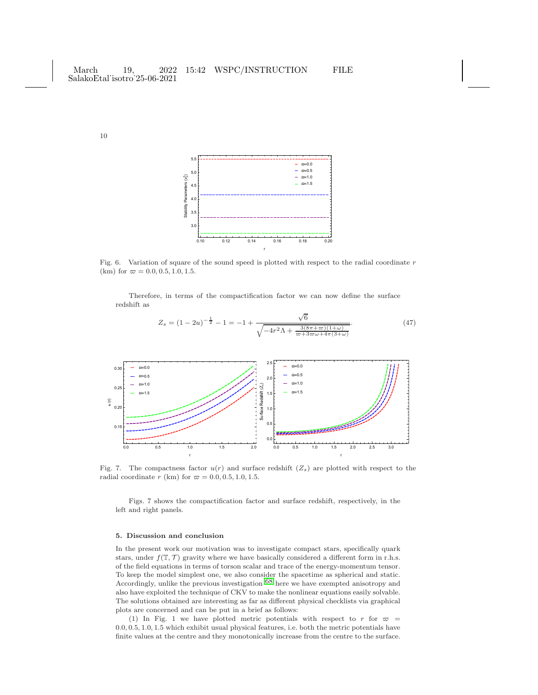

Fig. 6. Variation of square of the sound speed is plotted with respect to the radial coordinate  $r$ (km) for  $\varpi = 0.0, 0.5, 1.0, 1.5$ .

Therefore, in terms of the compactification factor we can now define the surface redshift as

 $\sqrt{6}$ 



Fig. 7. The compactness factor  $u(r)$  and surface redshift  $(Z_s)$  are plotted with respect to the radial coordinate r (km) for  $\varpi = 0.0, 0.5, 1.0, 1.5$ .

Figs. 7 shows the compactification factor and surface redshift, respectively, in the left and right panels.

#### 5. Discussion and conclusion

In the present work our motivation was to investigate compact stars, specifically quark stars, under  $f(\mathbb{T}, \mathcal{T})$  gravity where we have basically considered a different form in r.h.s. of the field equations in terms of torson scalar and trace of the energy-momentum tensor. To keep the model simplest one, we also consider the spacetime as spherical and static. Accordingly, unlike the previous investigation [68](#page-12-25) here we have exempted anisotropy and also have exploited the technique of CKV to make the nonlinear equations easily solvable. The solutions obtained are interesting as far as different physical checklists via graphical plots are concerned and can be put in a brief as follows:

(1) In Fig. 1 we have plotted metric potentials with respect to r for  $\varpi$  = 0.0, 0.5, 1.0, 1.5 which exhibit usual physical features, i.e. both the metric potentials have finite values at the centre and they monotonically increase from the centre to the surface.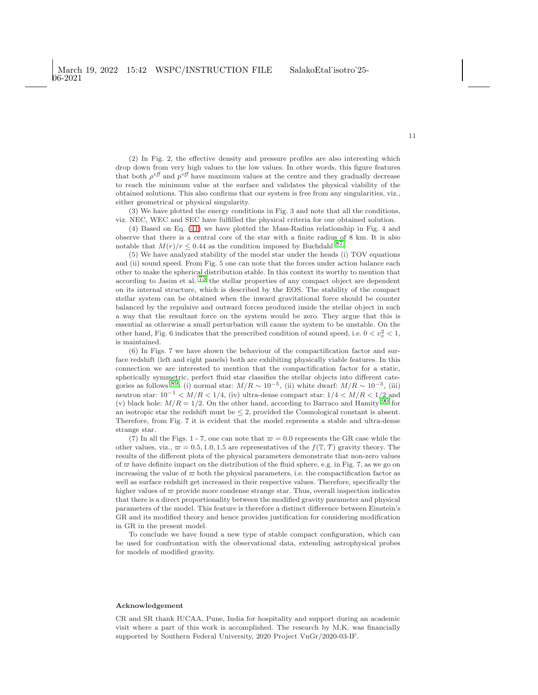(2) In Fig. 2, the effective density and pressure profiles are also interesting which drop down from very high values to the low values. In other words, this figure features that both  $\rho^{eff}$  and  $p^{eff}$  have maximum values at the centre and they gradually decrease to reach the minimum value at the surface and validates the physical viability of the obtained solutions. This also confirms that our system is free from any singularities, viz., either geometrical or physical singularity.

(3) We have plotted the energy conditions in Fig. 3 and note that all the conditions, viz. NEC, WEC and SEC have fulfilled the physical criteria for our obtained solution.

(4) Based on Eq. [\(41\)](#page-6-0) we have plotted the Mass-Radius relationship in Fig. 4 and observe that there is a central core of the star with a finite radius of 8 km. It is also notable that  $M(r)/r \leq 0.44$  as the condition imposed by Buchdahl <sup>87</sup>.

(5) We have analyzed stability of the model star under the heads (i) TOV equations and (ii) sound speed. From Fig. 5 one can note that the forces under action balance each other to make the spherical distribution stable. In this context its worthy to mention that according to Jasim et al. [73](#page-12-30) the stellar properties of any compact object are dependent on its internal structure, which is described by the EOS. The stability of the compact stellar system can be obtained when the inward gravitational force should be counter balanced by the repulsive and outward forces produced inside the stellar object in such a way that the resultant force on the system would be zero. They argue that this is essential as otherwise a small perturbation will cause the system to be unstable. On the other hand, Fig. 6 indicates that the prescribed condition of sound speed, i.e.  $0 < v_s^2 < 1$ , is maintained.

(6) In Figs. 7 we have shown the behaviour of the compactification factor and surface redshift (left and right panels) both are exhibiting physically viable features. In this connection we are interested to mention that the compactification factor for a static, spherically symmetric, perfect fluid star classifies the stellar objects into different categories as follows <sup>89</sup>: (i) normal star:  $M/R \sim 10^{-5}$ , (ii) white dwarf:  $M/R \sim 10^{-3}$ , (iii) neutron star:  $10^{-1}$  <  $M/R$  <  $1/4$ , (iv) ultra-dense compact star:  $1/4$  <  $M/R$  <  $1/2$  and (v) black hole:  $M/R = 1/2$ . On the other hand, according to Barraco and Hamity <sup>[90](#page-13-11)</sup> for an isotropic star the redshift must be  $\leq 2$ , provided the Cosmological constant is absent. Therefore, from Fig. 7 it is evident that the model represents a stable and ultra-dense strange star.

(7) In all the Figs. 1 - 7, one can note that  $\varpi = 0.0$  represents the GR case while the other values, viz.,  $\varpi = 0.5, 1.0, 1.5$  are representatives of the  $f(\mathbb{T}, \mathcal{T})$  gravity theory. The results of the different plots of the physical parameters demonstrate that non-zero values of  $\varpi$  have definite impact on the distribution of the fluid sphere, e.g. in Fig. 7, as we go on increasing the value of  $\varpi$  both the physical parameters, i.e. the compactification factor as well as surface redshift get increased in their respective values. Therefore, specifically the higher values of  $\varpi$  provide more condense strange star. Thus, overall inspection indicates that there is a direct proportionality between the modified gravity parameter and physical parameters of the model. This feature is therefore a distinct difference between Einstein's GR and its modified theory and hence provides justification for considering modification in GR in the present model.

To conclude we have found a new type of stable compact configuration, which can be used for confrontation with the observational data, extending astrophysical probes for models of modified gravity.

#### Acknowledgement

CR and SR thank IUCAA, Pune, India for hospitality and support during an academic visit where a part of this work is accomplished. The research by M.K. was financially supported by Southern Federal University, 2020 Project VnGr/2020-03-IF.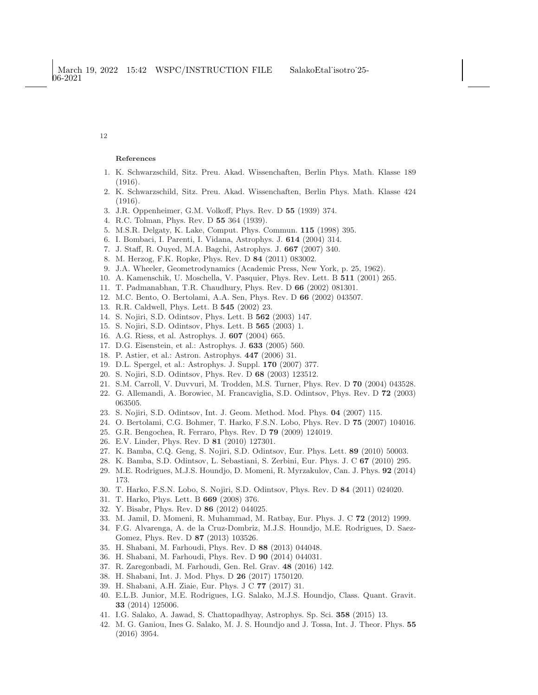#### References

- <span id="page-11-0"></span>1. K. Schwarzschild, Sitz. Preu. Akad. Wissenchaften, Berlin Phys. Math. Klasse 189 (1916).
- <span id="page-11-1"></span>2. K. Schwarzschild, Sitz. Preu. Akad. Wissenchaften, Berlin Phys. Math. Klasse 424 (1916).
- <span id="page-11-3"></span><span id="page-11-2"></span>3. J.R. Oppenheimer, G.M. Volkoff, Phys. Rev. D 55 (1939) 374.
- <span id="page-11-4"></span>4. R.C. Tolman, Phys. Rev. D 55 364 (1939).
- <span id="page-11-5"></span>5. M.S.R. Delgaty, K. Lake, Comput. Phys. Commun. 115 (1998) 395.
- <span id="page-11-6"></span>6. I. Bombaci, I. Parenti, I. Vidana, Astrophys. J. 614 (2004) 314.
- <span id="page-11-7"></span>7. J. Staff, R. Ouyed, M.A. Bagchi, Astrophys. J. 667 (2007) 340.
- <span id="page-11-8"></span>8. M. Herzog, F.K. Ropke, Phys. Rev. D 84 (2011) 083002.
- <span id="page-11-9"></span>9. J.A. Wheeler, Geometrodynamics (Academic Press, New York, p. 25, 1962).
- <span id="page-11-10"></span>10. A. Kamenschik, U. Moschella, V. Pasquier, Phys. Rev. Lett. B 511 (2001) 265.
- <span id="page-11-11"></span>11. T. Padmanabhan, T.R. Chaudhury, Phys. Rev. D 66 (2002) 081301.
- <span id="page-11-12"></span>12. M.C. Bento, O. Bertolami, A.A. Sen, Phys. Rev. D 66 (2002) 043507.
- <span id="page-11-13"></span>13. R.R. Caldwell, Phys. Lett. B 545 (2002) 23.
- <span id="page-11-14"></span>14. S. Nojiri, S.D. Odintsov, Phys. Lett. B 562 (2003) 147.
- <span id="page-11-15"></span>15. S. Nojiri, S.D. Odintsov, Phys. Lett. B 565 (2003) 1.
- <span id="page-11-16"></span>16. A.G. Riess, et al. Astrophys. J. 607 (2004) 665.
- <span id="page-11-17"></span>17. D.G. Eisenstein, et al.: Astrophys. J. 633 (2005) 560.
- <span id="page-11-18"></span>18. P. Astier, et al.: Astron. Astrophys. 447 (2006) 31.
- <span id="page-11-19"></span>19. D.L. Spergel, et al.: Astrophys. J. Suppl. 170 (2007) 377.
- <span id="page-11-20"></span>20. S. Nojiri, S.D. Odintsov, Phys. Rev. D 68 (2003) 123512.
- <span id="page-11-21"></span>21. S.M. Carroll, V. Duvvuri, M. Trodden, M.S. Turner, Phys. Rev. D 70 (2004) 043528.
- <span id="page-11-22"></span>22. G. Allemandi, A. Borowiec, M. Francaviglia, S.D. Odintsov, Phys. Rev. D 72 (2003) 063505.
- <span id="page-11-23"></span>23. S. Nojiri, S.D. Odintsov, Int. J. Geom. Method. Mod. Phys. 04 (2007) 115.
- <span id="page-11-24"></span>24. O. Bertolami, C.G. Bohmer, T. Harko, F.S.N. Lobo, Phys. Rev. D 75 (2007) 104016.
- <span id="page-11-25"></span>25. G.R. Bengochea, R. Ferraro, Phys. Rev. D 79 (2009) 124019.
- <span id="page-11-26"></span>26. E.V. Linder, Phys. Rev. D 81 (2010) 127301.
- <span id="page-11-27"></span>27. K. Bamba, C.Q. Geng, S. Nojiri, S.D. Odintsov, Eur. Phys. Lett. 89 (2010) 50003.
- <span id="page-11-28"></span>28. K. Bamba, S.D. Odintsov, L. Sebastiani, S. Zerbini, Eur. Phys. J. C 67 (2010) 295.
- <span id="page-11-29"></span>29. M.E. Rodrigues, M.J.S. Houndjo, D. Momeni, R. Myrzakulov, Can. J. Phys. 92 (2014) 173.
- <span id="page-11-30"></span>30. T. Harko, F.S.N. Lobo, S. Nojiri, S.D. Odintsov, Phys. Rev. D 84 (2011) 024020.
- <span id="page-11-31"></span>31. T. Harko, Phys. Lett. B 669 (2008) 376.
- <span id="page-11-32"></span>32. Y. Bisabr, Phys. Rev. D 86 (2012) 044025.
- <span id="page-11-33"></span>33. M. Jamil, D. Momeni, R. Muhammad, M. Ratbay, Eur. Phys. J. C 72 (2012) 1999.
- 34. F.G. Alvarenga, A. de la Cruz-Dombriz, M.J.S. Houndjo, M.E. Rodrigues, D. Saez-Gomez, Phys. Rev. D 87 (2013) 103526.
- <span id="page-11-35"></span><span id="page-11-34"></span>35. H. Shabani, M. Farhoudi, Phys. Rev. D 88 (2013) 044048.
- <span id="page-11-36"></span>36. H. Shabani, M. Farhoudi, Phys. Rev. D 90 (2014) 044031.
- <span id="page-11-37"></span>37. R. Zaregonbadi, M. Farhoudi, Gen. Rel. Grav. 48 (2016) 142.
- <span id="page-11-38"></span>38. H. Shabani, Int. J. Mod. Phys. D 26 (2017) 1750120.
- <span id="page-11-39"></span>39. H. Shabani, A.H. Ziaie, Eur. Phys. J C 77 (2017) 31.
- 40. E.L.B. Junior, M.E. Rodrigues, I.G. Salako, M.J.S. Houndjo, Class. Quant. Gravit. 33 (2014) 125006.
- <span id="page-11-41"></span><span id="page-11-40"></span>41. I.G. Salako, A. Jawad, S. Chattopadhyay, Astrophys. Sp. Sci. 358 (2015) 13.
- 42. M. G. Ganiou, Ines G. Salako, M. J. S. Houndjo and J. Tossa, Int. J. Theor. Phys. 55 (2016) 3954.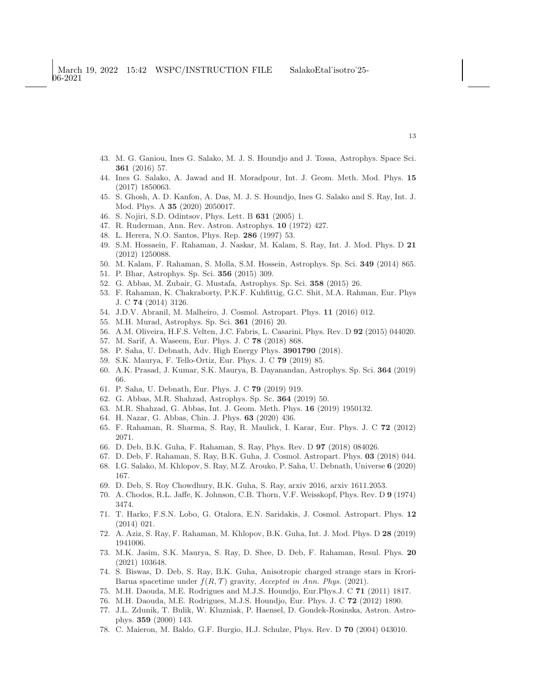- <span id="page-12-1"></span><span id="page-12-0"></span>43. M. G. Ganiou, Ines G. Salako, M. J. S. Houndjo and J. Tossa, Astrophys. Space Sci. 361 (2016) 57.
- 44. Ines G. Salako, A. Jawad and H. Moradpour, Int. J. Geom. Meth. Mod. Phys. 15 (2017) 1850063.
- <span id="page-12-2"></span>45. S. Ghosh, A. D. Kanfon, A. Das, M. J. S. Houndjo, Ines G. Salako and S. Ray, Int. J. Mod. Phys. A 35 (2020) 2050017.
- <span id="page-12-4"></span><span id="page-12-3"></span>46. S. Nojiri, S.D. Odintsov, Phys. Lett. B 631 (2005) 1.
- <span id="page-12-5"></span>47. R. Ruderman, Ann. Rev. Astron. Astrophys. 10 (1972) 427.
- <span id="page-12-6"></span>48. L. Herera, N.O. Santos, Phys. Rep. 286 (1997) 53.
- 49. S.M. Hossaein, F. Rahaman, J. Naskar, M. Kalam, S. Ray, Int. J. Mod. Phys. D 21 (2012) 1250088.
- <span id="page-12-9"></span><span id="page-12-7"></span>50. M. Kalam, F. Rahaman, S. Molla, S.M. Hossein, Astrophys. Sp. Sci. 349 (2014) 865.
- <span id="page-12-10"></span>51. P. Bhar, Astrophys. Sp. Sci. 356 (2015) 309.
- <span id="page-12-8"></span>52. G. Abbas, M. Zubair, G. Mustafa, Astrophys. Sp. Sci. 358 (2015) 26.
- 53. F. Rahaman, K. Chakraborty, P.K.F. Kuhfittig, G.C. Shit, M.A. Rahman, Eur. Phys J. C 74 (2014) 3126.
- <span id="page-12-12"></span><span id="page-12-11"></span>54. J.D.V. Abranil, M. Malheiro, J. Cosmol. Astropart. Phys. 11 (2016) 012.
- <span id="page-12-13"></span>55. M.H. Murad, Astrophys. Sp. Sci. 361 (2016) 20.
- <span id="page-12-14"></span>56. A.M. Oliveira, H.F.S. Velten, J.C. Fabris, L. Casarini, Phys. Rev. D 92 (2015) 044020.
- <span id="page-12-15"></span>57. M. Sarif, A. Waseem, Eur. Phys. J. C 78 (2018) 868.
- <span id="page-12-16"></span>58. P. Saha, U. Debnath, Adv. High Energy Phys. 3901790 (2018).
- <span id="page-12-17"></span>59. S.K. Maurya, F. Tello-Ortiz, Eur. Phys. J. C 79 (2019) 85.
- <span id="page-12-18"></span>60. A.K. Prasad, J. Kumar, S.K. Maurya, B. Dayanandan, Astrophys. Sp. Sci. 364 (2019) 66.
- <span id="page-12-19"></span>61. P. Saha, U. Debnath, Eur. Phys. J. C 79 (2019) 919.
- <span id="page-12-20"></span>62. G. Abbas, M.R. Shahzad, Astrophys. Sp. Sc. 364 (2019) 50.
- <span id="page-12-21"></span>63. M.R. Shahzad, G. Abbas, Int. J. Geom. Meth. Phys. 16 (2019) 1950132.
- <span id="page-12-22"></span>64. H. Nazar, G. Abbas, Chin. J. Phys. 63 (2020) 436.
- <span id="page-12-23"></span>65. F. Rahaman, R. Sharma, S. Ray, R. Maulick, I. Karar, Eur. Phys. J. C 72 (2012) 2071.
- <span id="page-12-24"></span>66. D. Deb, B.K. Guha, F. Rahaman, S. Ray, Phys. Rev. D 97 (2018) 084026.
- <span id="page-12-25"></span>67. D. Deb, F. Rahaman, S. Ray, B.K. Guha, J. Cosmol. Astropart. Phys. 03 (2018) 044.
- <span id="page-12-26"></span>68. I.G. Salako, M. Khlopov, S. Ray, M.Z. Arouko, P. Saha, U. Debnath, Universe 6 (2020) 167.
- <span id="page-12-27"></span>69. D. Deb, S. Roy Chowdhury, B.K. Guha, S. Ray, arxiv 2016, arxiv 1611.2053.
- <span id="page-12-28"></span>70. A. Chodos, R.L. Jaffe, K. Johnson, C.B. Thorn, V.F. Weisskopf, Phys. Rev. D 9 (1974) 3474.
- 71. T. Harko, F.S.N. Lobo, G. Otalora, E.N. Saridakis, J. Cosmol. Astropart. Phys. 12 (2014) 021.
- <span id="page-12-30"></span><span id="page-12-29"></span>72. A. Aziz, S. Ray, F. Rahaman, M. Khlopov, B.K. Guha, Int. J. Mod. Phys. D 28 (2019) 1941006.
- 73. M.K. Jasim, S.K. Maurya, S. Ray, D. Shee, D. Deb, F. Rahaman, Resul. Phys. 20 (2021) 103648.
- <span id="page-12-31"></span>74. S. Biswas, D. Deb, S. Ray, B.K. Guha, Anisotropic charged strange stars in Krori-Barua spacetime under  $f(R, \mathcal{T})$  gravity, Accepted in Ann. Phys. (2021).
- 75. M.H. Daouda, M.E. Rodrigues and M.J.S. Houndjo, Eur.Phys.J. C 71 (2011) 1817.
- <span id="page-12-32"></span>76. M.H. Daouda, M.E. Rodrigues, M.J.S. Houndjo, Eur. Phys. J. C 72 (2012) 1890.
- 77. J.L. Zdunik, T. Bulik, W. Kluzniak, P. Haensel, D. Gondek-Rosinska, Astron. Astrophys. 359 (2000) 143.
- <span id="page-12-33"></span>78. C. Maieron, M. Baldo, G.F. Burgio, H.J. Schulze, Phys. Rev. D 70 (2004) 043010.